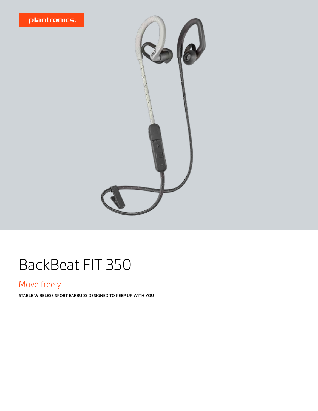



## BackBeat FIT 350

### Move freely

STABLE WIRELESS SPORT EARBUDS DESIGNED TO KEEP UP WITH YOU